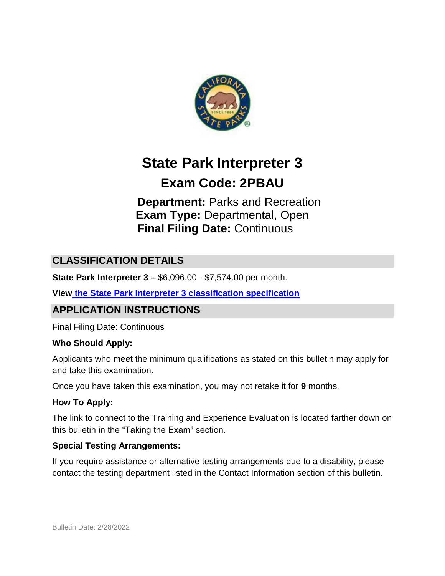

# **State Park Interpreter 3**

# **Exam Code: 2PBAU**

# **Department:** Parks and Recreation **Exam Type:** Departmental, Open **Final Filing Date:** Continuous

# **CLASSIFICATION DETAILS**

**State Park Interpreter 3 –** \$6,096.00 - \$7,574.00 per month.

**View [the State Park Interpreter 3 classification specification](https://www.calhr.ca.gov/state-hr-professionals/Pages/2828.aspx)**

## **APPLICATION INSTRUCTIONS**

Final Filing Date: Continuous

#### **Who Should Apply:**

Applicants who meet the minimum qualifications as stated on this bulletin may apply for and take this examination.

Once you have taken this examination, you may not retake it for **9** months.

#### **How To Apply:**

The link to connect to the Training and Experience Evaluation is located farther down on this bulletin in the "Taking the Exam" section.

#### **Special Testing Arrangements:**

If you require assistance or alternative testing arrangements due to a disability, please contact the testing department listed in the Contact Information section of this bulletin.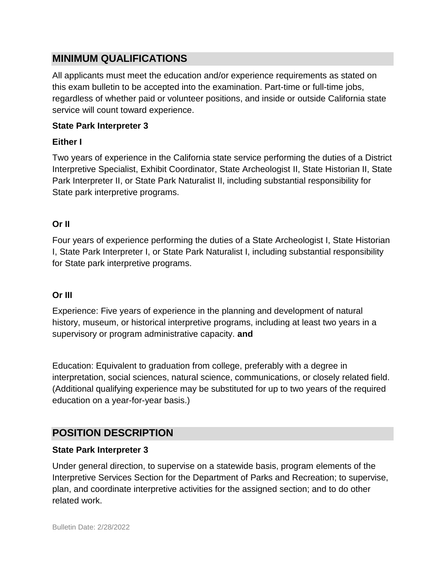## **MINIMUM QUALIFICATIONS**

All applicants must meet the education and/or experience requirements as stated on this exam bulletin to be accepted into the examination. Part-time or full-time jobs, regardless of whether paid or volunteer positions, and inside or outside California state service will count toward experience.

#### **State Park Interpreter 3**

#### **Either I**

Two years of experience in the California state service performing the duties of a District Interpretive Specialist, Exhibit Coordinator, State Archeologist II, State Historian II, State Park Interpreter II, or State Park Naturalist II, including substantial responsibility for State park interpretive programs.

#### **Or II**

Four years of experience performing the duties of a State Archeologist I, State Historian I, State Park Interpreter I, or State Park Naturalist I, including substantial responsibility for State park interpretive programs.

#### **Or III**

Experience: Five years of experience in the planning and development of natural history, museum, or historical interpretive programs, including at least two years in a supervisory or program administrative capacity. **and**

Education: Equivalent to graduation from college, preferably with a degree in interpretation, social sciences, natural science, communications, or closely related field. (Additional qualifying experience may be substituted for up to two years of the required education on a year-for-year basis.)

## **POSITION DESCRIPTION**

#### **State Park Interpreter 3**

Under general direction, to supervise on a statewide basis, program elements of the Interpretive Services Section for the Department of Parks and Recreation; to supervise, plan, and coordinate interpretive activities for the assigned section; and to do other related work.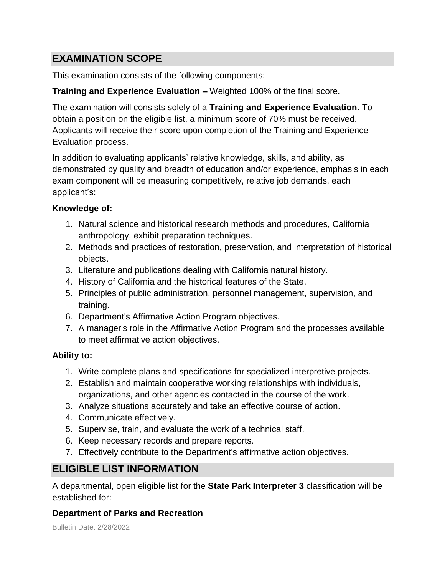# **EXAMINATION SCOPE**

This examination consists of the following components:

## **Training and Experience Evaluation –** Weighted 100% of the final score.

The examination will consists solely of a **Training and Experience Evaluation.** To obtain a position on the eligible list, a minimum score of 70% must be received. Applicants will receive their score upon completion of the Training and Experience Evaluation process.

In addition to evaluating applicants' relative knowledge, skills, and ability, as demonstrated by quality and breadth of education and/or experience, emphasis in each exam component will be measuring competitively, relative job demands, each applicant's:

## **Knowledge of:**

- 1. Natural science and historical research methods and procedures, California anthropology, exhibit preparation techniques.
- 2. Methods and practices of restoration, preservation, and interpretation of historical objects.
- 3. Literature and publications dealing with California natural history.
- 4. History of California and the historical features of the State.
- 5. Principles of public administration, personnel management, supervision, and training.
- 6. Department's Affirmative Action Program objectives.
- 7. A manager's role in the Affirmative Action Program and the processes available to meet affirmative action objectives.

## **Ability to:**

- 1. Write complete plans and specifications for specialized interpretive projects.
- 2. Establish and maintain cooperative working relationships with individuals, organizations, and other agencies contacted in the course of the work.
- 3. Analyze situations accurately and take an effective course of action.
- 4. Communicate effectively.
- 5. Supervise, train, and evaluate the work of a technical staff.
- 6. Keep necessary records and prepare reports.
- 7. Effectively contribute to the Department's affirmative action objectives.

# **ELIGIBLE LIST INFORMATION**

A departmental, open eligible list for the **State Park Interpreter 3** classification will be established for:

## **Department of Parks and Recreation**

Bulletin Date: 2/28/2022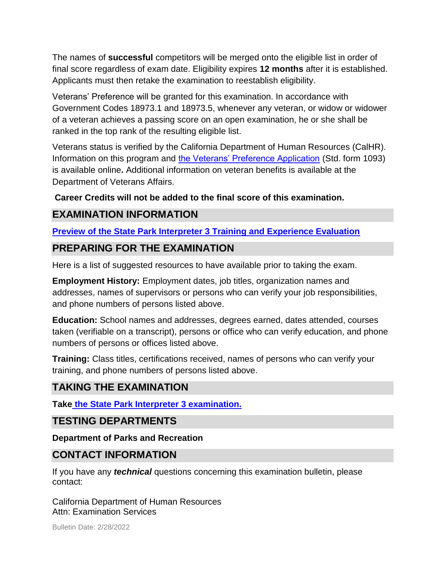The names of **successful** competitors will be merged onto the eligible list in order of final score regardless of exam date. Eligibility expires **12 months** after it is established. Applicants must then retake the examination to reestablish eligibility.

Veterans' Preference will be granted for this examination. In accordance with Government Codes 18973.1 and 18973.5, whenever any veteran, or widow or widower of a veteran achieves a passing score on an open examination, he or she shall be ranked in the top rank of the resulting eligible list.

Veterans status is verified by the California Department of Human Resources (CalHR). Information on this program and [the Veterans' Preference Application](https://www.jobs.ca.gov/CalHRPublic/Landing/Jobs/VeteransInformation.aspx) (Std. form 1093) is available online**.** Additional information on veteran benefits is available at the Department of Veterans Affairs.

#### **Career Credits will not be added to the final score of this examination.**

## **EXAMINATION INFORMATION**

#### **[Preview of the State Park Interpreter 3 Training and Experience Evaluation](https://jobs.ca.gov/jobsgen/2PBAUB.pdf)**

## **PREPARING FOR THE EXAMINATION**

Here is a list of suggested resources to have available prior to taking the exam.

**Employment History:** Employment dates, job titles, organization names and addresses, names of supervisors or persons who can verify your job responsibilities, and phone numbers of persons listed above.

**Education:** School names and addresses, degrees earned, dates attended, courses taken (verifiable on a transcript), persons or office who can verify education, and phone numbers of persons or offices listed above.

**Training:** Class titles, certifications received, names of persons who can verify your training, and phone numbers of persons listed above.

## **TAKING THE EXAMINATION**

**Take [the State Park Interpreter 3 examination.](https://www.jobs.ca.gov/CalHRPublic/Login.aspx?ExamId=2PBAU)**

## **TESTING DEPARTMENTS**

**Department of Parks and Recreation**

## **CONTACT INFORMATION**

If you have any *technical* questions concerning this examination bulletin, please contact:

California Department of Human Resources Attn: Examination Services

Bulletin Date: 2/28/2022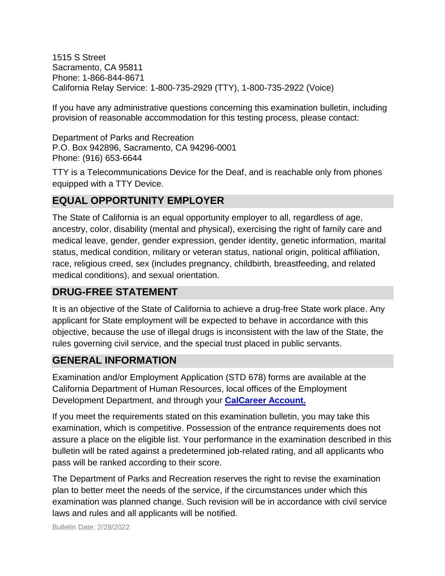1515 S Street Sacramento, CA 95811 Phone: 1-866-844-8671 California Relay Service: 1-800-735-2929 (TTY), 1-800-735-2922 (Voice)

If you have any administrative questions concerning this examination bulletin, including provision of reasonable accommodation for this testing process, please contact:

Department of Parks and Recreation P.O. Box 942896, Sacramento, CA 94296-0001 Phone: (916) 653-6644

TTY is a Telecommunications Device for the Deaf, and is reachable only from phones equipped with a TTY Device.

# **EQUAL OPPORTUNITY EMPLOYER**

The State of California is an equal opportunity employer to all, regardless of age, ancestry, color, disability (mental and physical), exercising the right of family care and medical leave, gender, gender expression, gender identity, genetic information, marital status, medical condition, military or veteran status, national origin, political affiliation, race, religious creed, sex (includes pregnancy, childbirth, breastfeeding, and related medical conditions), and sexual orientation.

## **DRUG-FREE STATEMENT**

It is an objective of the State of California to achieve a drug-free State work place. Any applicant for State employment will be expected to behave in accordance with this objective, because the use of illegal drugs is inconsistent with the law of the State, the rules governing civil service, and the special trust placed in public servants.

# **GENERAL INFORMATION**

Examination and/or Employment Application (STD 678) forms are available at the California Department of Human Resources, local offices of the Employment Development Department, and through your **[CalCareer Account.](http://www.jobs.ca.gov/)**

If you meet the requirements stated on this examination bulletin, you may take this examination, which is competitive. Possession of the entrance requirements does not assure a place on the eligible list. Your performance in the examination described in this bulletin will be rated against a predetermined job-related rating, and all applicants who pass will be ranked according to their score.

The Department of Parks and Recreation reserves the right to revise the examination plan to better meet the needs of the service, if the circumstances under which this examination was planned change. Such revision will be in accordance with civil service laws and rules and all applicants will be notified.